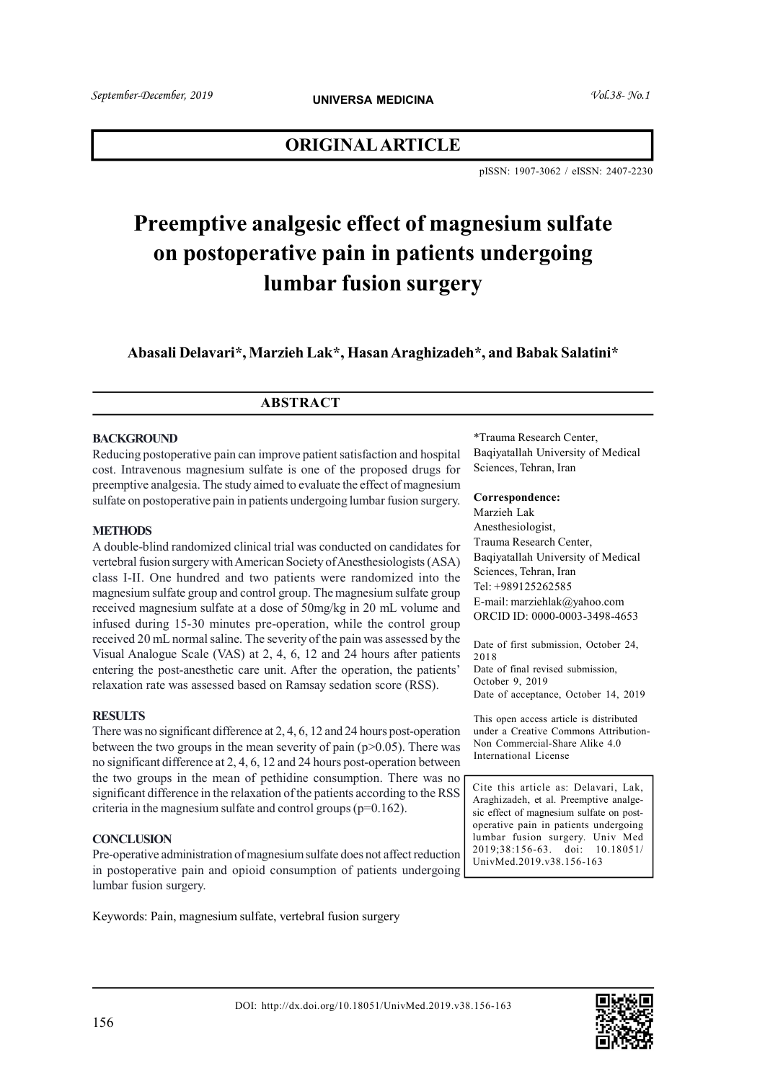# ORIGINAL ARTICLE

pISSN: 1907-3062 / eISSN: 2407-2230

# Preemptive analgesic effect of magnesium sulfate on postoperative pain in patients undergoing lumbar fusion surgery

Abasali Delavari\*, Marzieh Lak\*, Hasan Araghizadeh\*, and Babak Salatini\*

# ABSTRACT

#### **BACKGROUND**

Reducing postoperative pain can improve patient satisfaction and hospital cost. Intravenous magnesium sulfate is one of the proposed drugs for preemptive analgesia. The study aimed to evaluate the effect of magnesium sulfate on postoperative pain in patients undergoing lumbar fusion surgery.

#### **METHODS**

A double-blind randomized clinical trial was conducted on candidates for vertebral fusion surgery with American Society of Anesthesiologists (ASA) class I-II. One hundred and two patients were randomized into the magnesium sulfate group and control group. The magnesium sulfate group received magnesium sulfate at a dose of 50mg/kg in 20 mL volume and infused during 15-30 minutes pre-operation, while the control group received 20 mL normal saline. The severity of the pain was assessed by the Visual Analogue Scale (VAS) at 2, 4, 6, 12 and 24 hours after patients entering the post-anesthetic care unit. After the operation, the patients' relaxation rate was assessed based on Ramsay sedation score (RSS).

#### **RESULTS**

There was no significant difference at 2, 4, 6, 12 and 24 hours post-operation between the two groups in the mean severity of pain ( $p > 0.05$ ). There was no significant difference at 2, 4, 6, 12 and 24 hours post-operation between the two groups in the mean of pethidine consumption. There was no significant difference in the relaxation of the patients according to the RSS criteria in the magnesium sulfate and control groups  $(p=0.162)$ .

#### **CONCLUSION**

Pre-operative administration of magnesium sulfate does not affect reduction in postoperative pain and opioid consumption of patients undergoing lumbar fusion surgery.

Keywords: Pain, magnesium sulfate, vertebral fusion surgery

\*Trauma Research Center, Baqiyatallah University of Medical Sciences, Tehran, Iran

### Correspondence:

Marzieh Lak Anesthesiologist, Trauma Research Center, Baqiyatallah University of Medical Sciences, Tehran, Iran Tel: +989125262585 E-mail: marziehlak@yahoo.com ORCID ID: 0000-0003-3498-4653

Date of first submission, October 24, 2018 Date of final revised submission, October 9, 2019 Date of acceptance, October 14, 2019

This open access article is distributed under a Creative Commons Attribution-Non Commercial-Share Alike 4.0 International License

Cite this article as: Delavari, Lak, Araghizadeh, et al. Preemptive analgesic effect of magnesium sulfate on postoperative pain in patients undergoing lumbar fusion surgery. Univ Med 2019;38:156-63. doi: 10.18051/ UnivMed.2019.v38.156-163

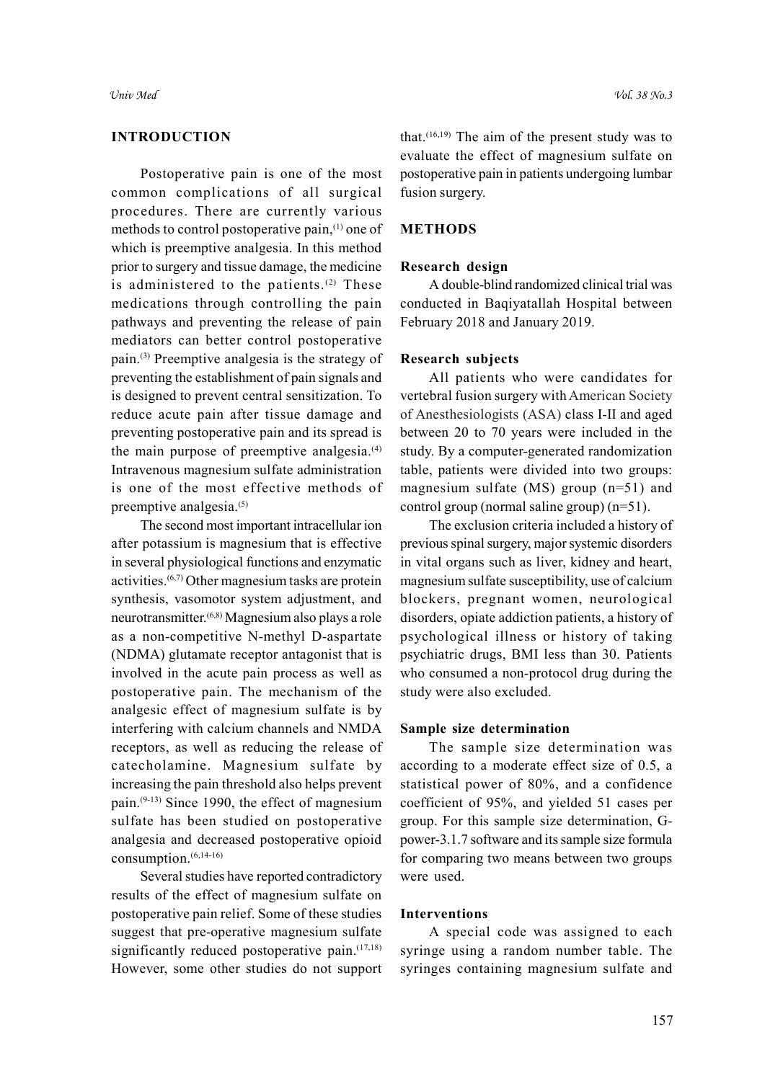# INTRODUCTION

Postoperative pain is one of the most common complications of all surgical procedures. There are currently various methods to control postoperative pain,(1) one of which is preemptive analgesia. In this method prior to surgery and tissue damage, the medicine is administered to the patients.<sup>(2)</sup> These medications through controlling the pain pathways and preventing the release of pain mediators can better control postoperative pain.(3) Preemptive analgesia is the strategy of preventing the establishment of pain signals and is designed to prevent central sensitization. To reduce acute pain after tissue damage and preventing postoperative pain and its spread is the main purpose of preemptive analgesia.<sup>(4)</sup> Intravenous magnesium sulfate administration is one of the most effective methods of preemptive analgesia.<sup>(5)</sup>

The second most important intracellular ion after potassium is magnesium that is effective in several physiological functions and enzymatic activities.(6,7) Other magnesium tasks are protein synthesis, vasomotor system adjustment, and neurotransmitter.(6,8) Magnesium also plays a role as a non-competitive N-methyl D-aspartate (NDMA) glutamate receptor antagonist that is involved in the acute pain process as well as postoperative pain. The mechanism of the analgesic effect of magnesium sulfate is by interfering with calcium channels and NMDA receptors, as well as reducing the release of catecholamine. Magnesium sulfate by increasing the pain threshold also helps prevent pain.(9-13) Since 1990, the effect of magnesium sulfate has been studied on postoperative analgesia and decreased postoperative opioid consumption.(6,14-16)

Several studies have reported contradictory results of the effect of magnesium sulfate on postoperative pain relief. Some of these studies suggest that pre-operative magnesium sulfate significantly reduced postoperative pain.<sup>(17,18)</sup> However, some other studies do not support that.<sup> $(16,19)$ </sup> The aim of the present study was to evaluate the effect of magnesium sulfate on postoperative pain in patients undergoing lumbar fusion surgery.

#### METHODS

#### Research design

A double-blind randomized clinical trial was conducted in Baqiyatallah Hospital between February 2018 and January 2019.

#### Research subjects

All patients who were candidates for vertebral fusion surgery with American Society of Anesthesiologists (ASA) class I-II and aged between 20 to 70 years were included in the study. By a computer-generated randomization table, patients were divided into two groups: magnesium sulfate (MS) group (n=51) and control group (normal saline group) (n=51).

The exclusion criteria included a history of previous spinal surgery, major systemic disorders in vital organs such as liver, kidney and heart, magnesium sulfate susceptibility, use of calcium blockers, pregnant women, neurological disorders, opiate addiction patients, a history of psychological illness or history of taking psychiatric drugs, BMI less than 30. Patients who consumed a non-protocol drug during the study were also excluded.

### Sample size determination

The sample size determination was according to a moderate effect size of 0.5, a statistical power of 80%, and a confidence coefficient of 95%, and yielded 51 cases per group. For this sample size determination, Gpower-3.1.7 software and its sample size formula for comparing two means between two groups were used.

#### Interventions

A special code was assigned to each syringe using a random number table. The syringes containing magnesium sulfate and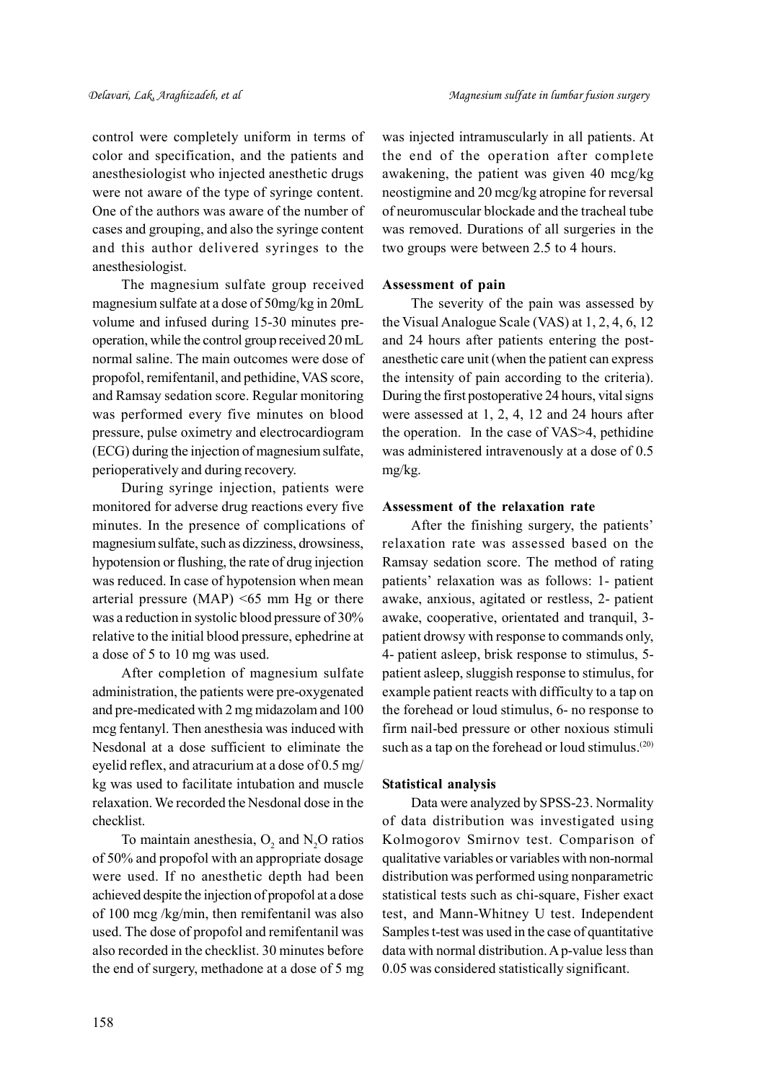control were completely uniform in terms of color and specification, and the patients and anesthesiologist who injected anesthetic drugs were not aware of the type of syringe content. One of the authors was aware of the number of cases and grouping, and also the syringe content and this author delivered syringes to the anesthesiologist.

The magnesium sulfate group received magnesium sulfate at a dose of 50mg/kg in 20mL volume and infused during 15-30 minutes preoperation, while the control group received 20 mL normal saline. The main outcomes were dose of propofol, remifentanil, and pethidine, VAS score, and Ramsay sedation score. Regular monitoring was performed every five minutes on blood pressure, pulse oximetry and electrocardiogram (ECG) during the injection of magnesium sulfate, perioperatively and during recovery.

During syringe injection, patients were monitored for adverse drug reactions every five minutes. In the presence of complications of magnesium sulfate, such as dizziness, drowsiness, hypotension or flushing, the rate of drug injection was reduced. In case of hypotension when mean arterial pressure (MAP)  $\leq 65$  mm Hg or there was a reduction in systolic blood pressure of 30% relative to the initial blood pressure, ephedrine at a dose of 5 to 10 mg was used.

After completion of magnesium sulfate administration, the patients were pre-oxygenated and pre-medicated with 2 mg midazolam and 100 mcg fentanyl. Then anesthesia was induced with Nesdonal at a dose sufficient to eliminate the eyelid reflex, and atracurium at a dose of 0.5 mg/ kg was used to facilitate intubation and muscle relaxation. We recorded the Nesdonal dose in the checklist.

To maintain anesthesia,  $O_2$  and  $N_2O$  ratios of 50% and propofol with an appropriate dosage were used. If no anesthetic depth had been achieved despite the injection of propofol at a dose of 100 mcg /kg/min, then remifentanil was also used. The dose of propofol and remifentanil was also recorded in the checklist. 30 minutes before the end of surgery, methadone at a dose of 5 mg was injected intramuscularly in all patients. At the end of the operation after complete awakening, the patient was given 40 mcg/kg neostigmine and 20 mcg/kg atropine for reversal of neuromuscular blockade and the tracheal tube was removed. Durations of all surgeries in the two groups were between 2.5 to 4 hours.

#### Assessment of pain

The severity of the pain was assessed by the Visual Analogue Scale (VAS) at 1, 2, 4, 6, 12 and 24 hours after patients entering the postanesthetic care unit (when the patient can express the intensity of pain according to the criteria). During the first postoperative 24 hours, vital signs were assessed at 1, 2, 4, 12 and 24 hours after the operation. In the case of VAS>4, pethidine was administered intravenously at a dose of 0.5 mg/kg.

### Assessment of the relaxation rate

After the finishing surgery, the patients' relaxation rate was assessed based on the Ramsay sedation score. The method of rating patients' relaxation was as follows: 1- patient awake, anxious, agitated or restless, 2- patient awake, cooperative, orientated and tranquil, 3 patient drowsy with response to commands only, 4- patient asleep, brisk response to stimulus, 5 patient asleep, sluggish response to stimulus, for example patient reacts with difficulty to a tap on the forehead or loud stimulus, 6- no response to firm nail-bed pressure or other noxious stimuli such as a tap on the forehead or loud stimulus.<sup>(20)</sup>

#### Statistical analysis

Data were analyzed by SPSS-23. Normality of data distribution was investigated using Kolmogorov Smirnov test. Comparison of qualitative variables or variables with non-normal distribution was performed using nonparametric statistical tests such as chi-square, Fisher exact test, and Mann-Whitney U test. Independent Samples t-test was used in the case of quantitative data with normal distribution. A p-value less than 0.05 was considered statistically significant.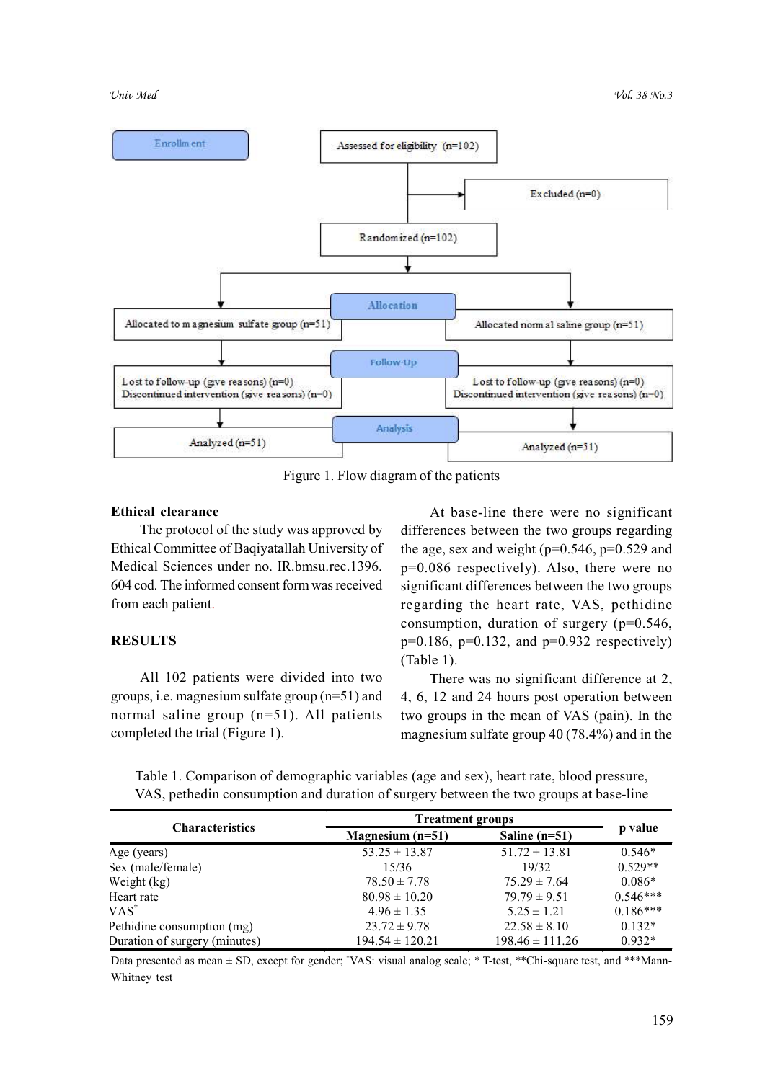

Figure 1. Flow diagram of the patients

### Ethical clearance

The protocol of the study was approved by Ethical Committee of Baqiyatallah University of Medical Sciences under no. IR.bmsu.rec.1396. 604 cod. The informed consent form was received from each patient.

# RESULTS

All 102 patients were divided into two groups, i.e. magnesium sulfate group (n=51) and normal saline group (n=51). All patients completed the trial (Figure 1).

At base-line there were no significant differences between the two groups regarding the age, sex and weight ( $p=0.546$ ,  $p=0.529$  and p=0.086 respectively). Also, there were no significant differences between the two groups regarding the heart rate, VAS, pethidine consumption, duration of surgery (p=0.546,  $p=0.186$ ,  $p=0.132$ , and  $p=0.932$  respectively) (Table 1).

There was no significant difference at 2, 4, 6, 12 and 24 hours post operation between two groups in the mean of VAS (pain). In the magnesium sulfate group 40 (78.4%) and in the

Table 1. Comparison of demographic variables (age and sex), heart rate, blood pressure, VAS, pethedin consumption and duration of surgery between the two groups at base-line

|                               | <b>Treatment groups</b> |                     |            |
|-------------------------------|-------------------------|---------------------|------------|
| <b>Characteristics</b>        | Magnesium $(n=51)$      | Saline $(n=51)$     | p value    |
| Age (years)                   | $53.25 \pm 13.87$       | $51.72 \pm 13.81$   | $0.546*$   |
| Sex (male/female)             | 15/36                   | 19/32               | $0.529**$  |
| Weight (kg)                   | $78.50 \pm 7.78$        | $75.29 \pm 7.64$    | $0.086*$   |
| Heart rate                    | $80.98 \pm 10.20$       | $79.79 \pm 9.51$    | $0.546***$ |
| $VAS^{\dagger}$               | $4.96 \pm 1.35$         | $5.25 \pm 1.21$     | $0.186***$ |
| Pethidine consumption (mg)    | $23.72 \pm 9.78$        | $22.58 \pm 8.10$    | $0.132*$   |
| Duration of surgery (minutes) | $194.54 \pm 120.21$     | $198.46 \pm 111.26$ | $0.932*$   |

Data presented as mean ± SD, except for gender; †VAS: visual analog scale; \* T-test, \*\*Chi-square test, and \*\*\*Mann-Whitney test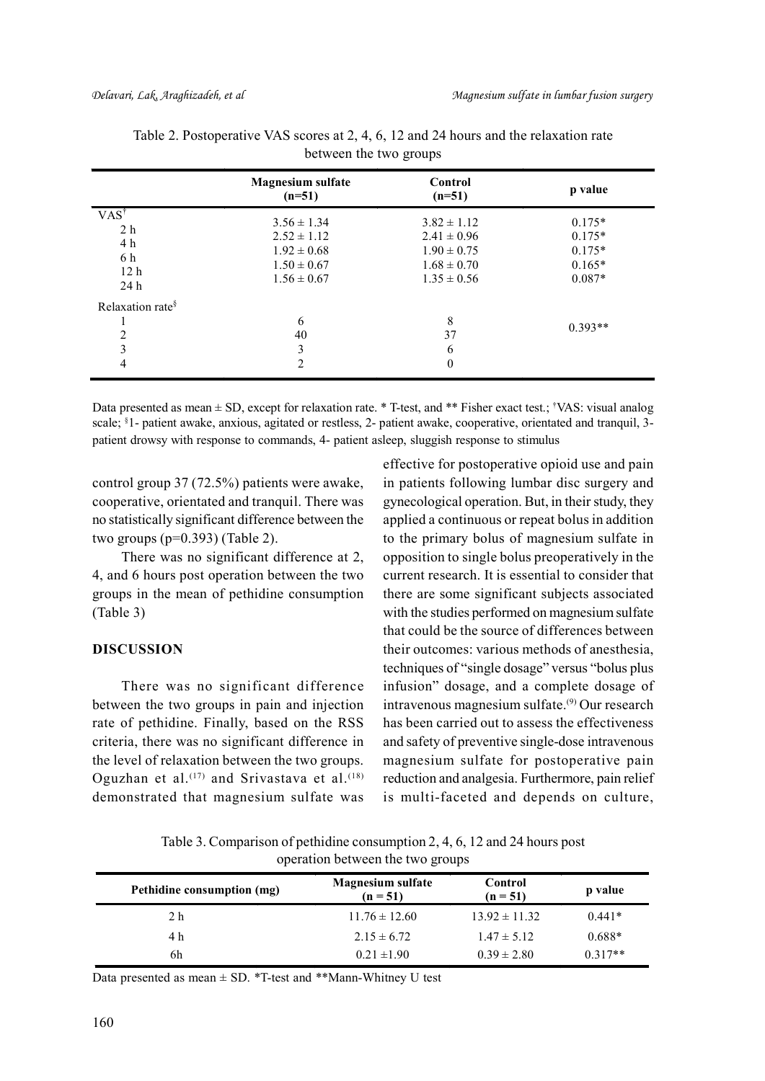|                                                                           | <b>Magnesium sulfate</b><br>$(n=51)$                                                        | Control<br>$(n=51)$                                                                         | p value                                                  |
|---------------------------------------------------------------------------|---------------------------------------------------------------------------------------------|---------------------------------------------------------------------------------------------|----------------------------------------------------------|
| $VAS^{\dagger}$<br>2 <sub>h</sub><br>4 h<br>6 h<br>12 <sub>h</sub><br>24h | $3.56 \pm 1.34$<br>$2.52 \pm 1.12$<br>$1.92 \pm 0.68$<br>$1.50 \pm 0.67$<br>$1.56 \pm 0.67$ | $3.82 \pm 1.12$<br>$2.41 \pm 0.96$<br>$1.90 \pm 0.75$<br>$1.68 \pm 0.70$<br>$1.35 \pm 0.56$ | $0.175*$<br>$0.175*$<br>$0.175*$<br>$0.165*$<br>$0.087*$ |
| Relaxation rate <sup>§</sup><br>$\overline{c}$<br>3<br>4                  | 6<br>40<br>3<br>2                                                                           | 8<br>37<br>6<br>$\Omega$                                                                    | $0.393**$                                                |

| Table 2. Postoperative VAS scores at 2, 4, 6, 12 and 24 hours and the relaxation rate |  |
|---------------------------------------------------------------------------------------|--|
| between the two groups                                                                |  |

Data presented as mean  $\pm$  SD, except for relaxation rate. \* T-test, and \*\* Fisher exact test.; †VAS: visual analog scale; §1- patient awake, anxious, agitated or restless, 2- patient awake, cooperative, orientated and tranquil, 3patient drowsy with response to commands, 4- patient asleep, sluggish response to stimulus

control group 37 (72.5%) patients were awake, cooperative, orientated and tranquil. There was no statistically significant difference between the two groups  $(p=0.393)$  (Table 2).

There was no significant difference at 2, 4, and 6 hours post operation between the two groups in the mean of pethidine consumption (Table 3)

#### DISCUSSION

There was no significant difference between the two groups in pain and injection rate of pethidine. Finally, based on the RSS criteria, there was no significant difference in the level of relaxation between the two groups. Oguzhan et al.<sup>(17)</sup> and Srivastava et al.<sup>(18)</sup> demonstrated that magnesium sulfate was effective for postoperative opioid use and pain in patients following lumbar disc surgery and gynecological operation. But, in their study, they applied a continuous or repeat bolus in addition to the primary bolus of magnesium sulfate in opposition to single bolus preoperatively in the current research. It is essential to consider that there are some significant subjects associated with the studies performed on magnesium sulfate that could be the source of differences between their outcomes: various methods of anesthesia, techniques of "single dosage" versus "bolus plus infusion" dosage, and a complete dosage of intravenous magnesium sulfate.(9) Our research has been carried out to assess the effectiveness and safety of preventive single-dose intravenous magnesium sulfate for postoperative pain reduction and analgesia. Furthermore, pain relief is multi-faceted and depends on culture,

Table 3. Comparison of pethidine consumption 2, 4, 6, 12 and 24 hours post operation between the two groups

| Pethidine consumption (mg) | <b>Magnesium sulfate</b><br>$(n = 51)$ | Control<br>$(n = 51)$ | p value   |
|----------------------------|----------------------------------------|-----------------------|-----------|
| 2 <sub>h</sub>             | $11.76 \pm 12.60$                      | $13.92 \pm 11.32$     | $0.441*$  |
| 4 h                        | $2.15 \pm 6.72$                        | $1.47 \pm 5.12$       | $0.688*$  |
| 6h                         | $0.21 \pm 1.90$                        | $0.39 \pm 2.80$       | $0.317**$ |

Data presented as mean  $\pm$  SD. \*T-test and \*\*Mann-Whitney U test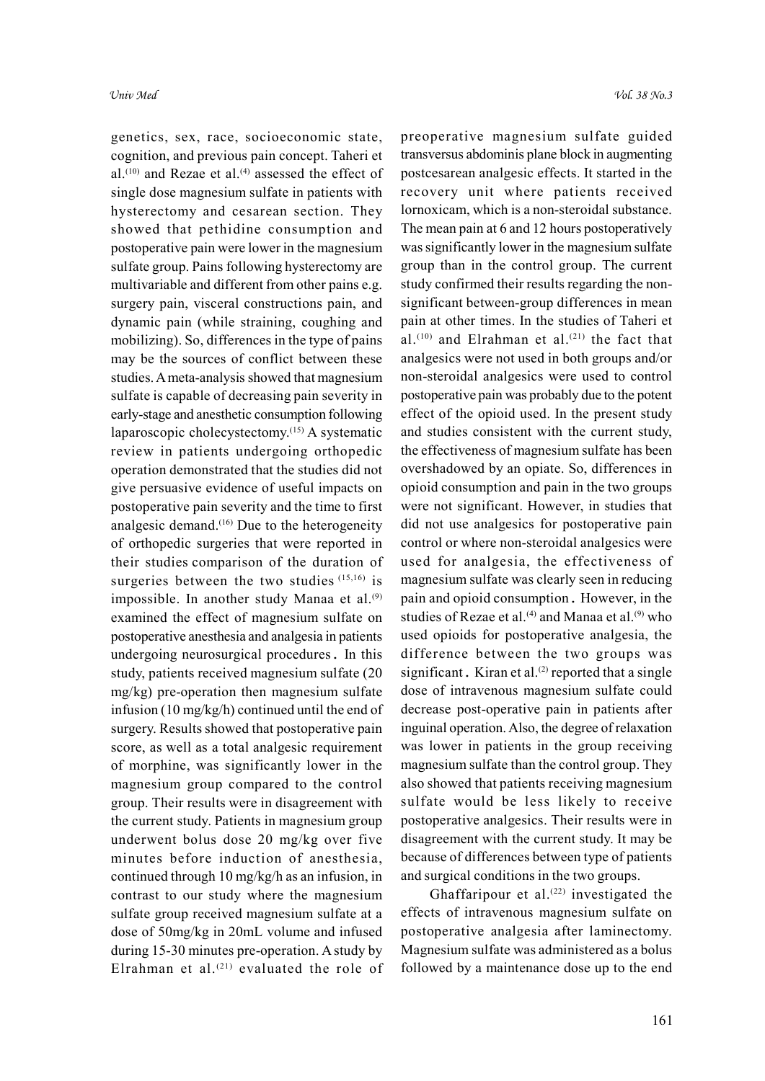genetics, sex, race, socioeconomic state, cognition, and previous pain concept. Taheri et al.<sup>(10)</sup> and Rezae et al.<sup>(4)</sup> assessed the effect of single dose magnesium sulfate in patients with hysterectomy and cesarean section. They showed that pethidine consumption and postoperative pain were lower in the magnesium sulfate group. Pains following hysterectomy are multivariable and different from other pains e.g. surgery pain, visceral constructions pain, and dynamic pain (while straining, coughing and mobilizing). So, differences in the type of pains may be the sources of conflict between these studies. A meta-analysis showed that magnesium sulfate is capable of decreasing pain severity in early-stage and anesthetic consumption following laparoscopic cholecystectomy.(15) A systematic review in patients undergoing orthopedic operation demonstrated that the studies did not give persuasive evidence of useful impacts on postoperative pain severity and the time to first analgesic demand. $(16)$  Due to the heterogeneity of orthopedic surgeries that were reported in their studies comparison of the duration of surgeries between the two studies (15,16) is impossible. In another study Manaa et al.<sup>(9)</sup> examined the effect of magnesium sulfate on postoperative anesthesia and analgesia in patients undergoing neurosurgical procedures. In this study, patients received magnesium sulfate (20 mg/kg) pre-operation then magnesium sulfate infusion (10 mg/kg/h) continued until the end of surgery. Results showed that postoperative pain score, as well as a total analgesic requirement of morphine, was significantly lower in the magnesium group compared to the control group. Their results were in disagreement with the current study. Patients in magnesium group underwent bolus dose 20 mg/kg over five minutes before induction of anesthesia, continued through 10 mg/kg/h as an infusion, in contrast to our study where the magnesium sulfate group received magnesium sulfate at a dose of 50mg/kg in 20mL volume and infused during 15-30 minutes pre-operation. A study by Elrahman et al.<sup>(21)</sup> evaluated the role of preoperative magnesium sulfate guided transversus abdominis plane block in augmenting postcesarean analgesic effects. It started in the recovery unit where patients received lornoxicam, which is a non-steroidal substance. The mean pain at 6 and 12 hours postoperatively was significantly lower in the magnesium sulfate group than in the control group. The current study confirmed their results regarding the nonsignificant between-group differences in mean pain at other times. In the studies of Taheri et al.<sup>(10)</sup> and Elrahman et al.<sup>(21)</sup> the fact that analgesics were not used in both groups and/or non-steroidal analgesics were used to control postoperative pain was probably due to the potent effect of the opioid used. In the present study and studies consistent with the current study, the effectiveness of magnesium sulfate has been overshadowed by an opiate. So, differences in opioid consumption and pain in the two groups were not significant. However, in studies that did not use analgesics for postoperative pain control or where non-steroidal analgesics were used for analgesia, the effectiveness of magnesium sulfate was clearly seen in reducing pain and opioid consumption. However, in the studies of Rezae et al.<sup>(4)</sup> and Manaa et al.<sup>(9)</sup> who used opioids for postoperative analgesia, the difference between the two groups was significant. Kiran et al. $(2)$  reported that a single dose of intravenous magnesium sulfate could decrease post-operative pain in patients after inguinal operation. Also, the degree of relaxation was lower in patients in the group receiving magnesium sulfate than the control group. They also showed that patients receiving magnesium sulfate would be less likely to receive postoperative analgesics. Their results were in disagreement with the current study. It may be because of differences between type of patients and surgical conditions in the two groups.

Ghaffaripour et al.<sup>(22)</sup> investigated the effects of intravenous magnesium sulfate on postoperative analgesia after laminectomy. Magnesium sulfate was administered as a bolus followed by a maintenance dose up to the end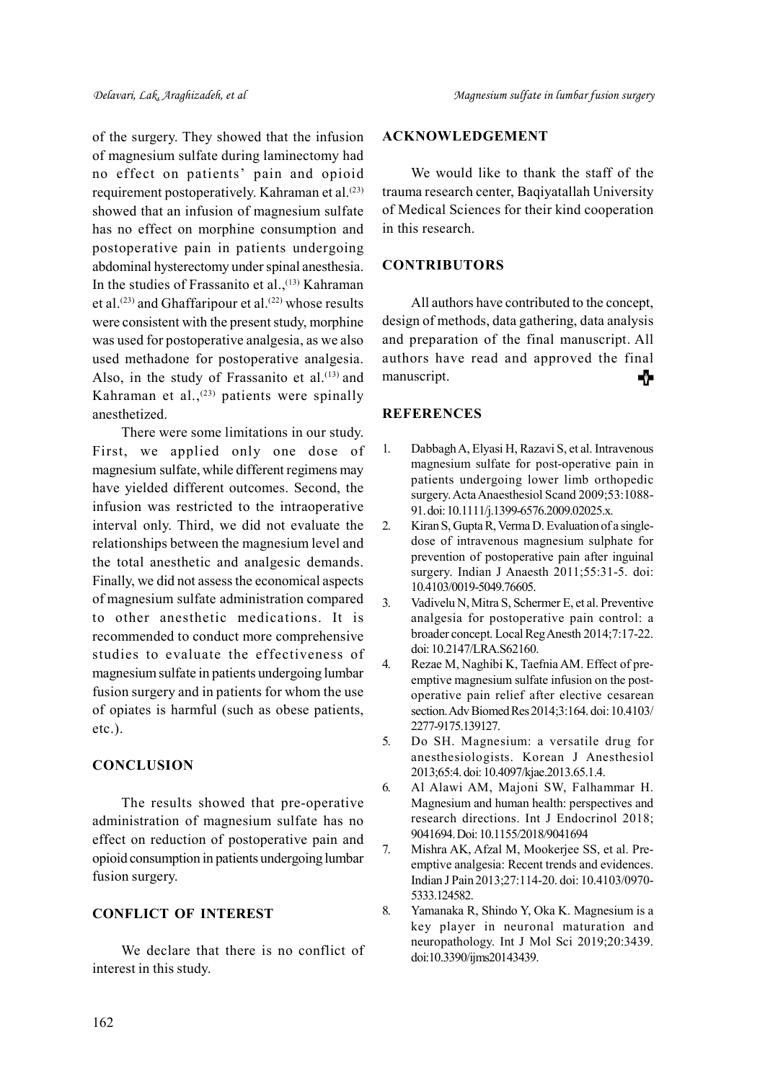of the surgery. They showed that the infusion of magnesium sulfate during laminectomy had no effect on patients' pain and opioid requirement postoperatively. Kahraman et al.<sup>(23)</sup> showed that an infusion of magnesium sulfate has no effect on morphine consumption and postoperative pain in patients undergoing abdominal hysterectomy under spinal anesthesia. In the studies of Frassanito et al.,<sup>(13)</sup> Kahraman et al.<sup>(23)</sup> and Ghaffaripour et al.<sup>(22)</sup> whose results were consistent with the present study, morphine was used for postoperative analgesia, as we also used methadone for postoperative analgesia. Also, in the study of Frassanito et al. $(13)$  and Kahraman et al., $^{(23)}$  patients were spinally anesthetized.

There were some limitations in our study. First, we applied only one dose of magnesium sulfate, while different regimens may have yielded different outcomes. Second, the infusion was restricted to the intraoperative interval only. Third, we did not evaluate the relationships between the magnesium level and the total anesthetic and analgesic demands. Finally, we did not assess the economical aspects of magnesium sulfate administration compared to other anesthetic medications. It is recommended to conduct more comprehensive studies to evaluate the effectiveness of magnesium sulfate in patients undergoing lumbar fusion surgery and in patients for whom the use of opiates is harmful (such as obese patients, etc.).

# **CONCLUSION**

The results showed that pre-operative administration of magnesium sulfate has no effect on reduction of postoperative pain and opioid consumption in patients undergoing lumbar fusion surgery.

# CONFLICT OF INTEREST

We declare that there is no conflict of interest in this study.

# ACKNOWLEDGEMENT

We would like to thank the staff of the trauma research center, Baqiyatallah University of Medical Sciences for their kind cooperation in this research.

# **CONTRIBUTORS**

All authors have contributed to the concept, design of methods, data gathering, data analysis and preparation of the final manuscript. All authors have read and approved the final manuscript. ╇

# **REFERENCES**

- 1. Dabbagh A, Elyasi H, Razavi S, et al. Intravenous magnesium sulfate for post-operative pain in patients undergoing lower limb orthopedic surgery. Acta Anaesthesiol Scand 2009;53:1088- 91. doi: 10.1111/j.1399-6576.2009.02025.x.
- 2. Kiran S, Gupta R, Verma D. Evaluation of a singledose of intravenous magnesium sulphate for prevention of postoperative pain after inguinal surgery. Indian J Anaesth 2011;55:31-5. doi: 10.4103/0019-5049.76605.
- 3. Vadivelu N, Mitra S, Schermer E, et al. Preventive analgesia for postoperative pain control: a broader concept. Local Reg Anesth 2014;7:17-22. doi: 10.2147/LRA.S62160.
- 4. Rezae M, Naghibi K, Taefnia AM. Effect of preemptive magnesium sulfate infusion on the postoperative pain relief after elective cesarean section. Adv Biomed Res 2014;3:164. doi: 10.4103/ 2277-9175.139127.
- 5. Do SH. Magnesium: a versatile drug for anesthesiologists. Korean J Anesthesiol 2013;65:4. doi: 10.4097/kjae.2013.65.1.4.
- 6. Al Alawi AM, Majoni SW, Falhammar H. Magnesium and human health: perspectives and research directions. Int J Endocrinol 2018; 9041694. Doi: 10.1155/2018/9041694
- 7. Mishra AK, Afzal M, Mookerjee SS, et al. Preemptive analgesia: Recent trends and evidences. Indian J Pain 2013;27:114-20. doi: 10.4103/0970- 5333.124582.
- 8. Yamanaka R, Shindo Y, Oka K. Magnesium is a key player in neuronal maturation and neuropathology. Int J Mol Sci 2019;20:3439. doi:10.3390/ijms20143439.